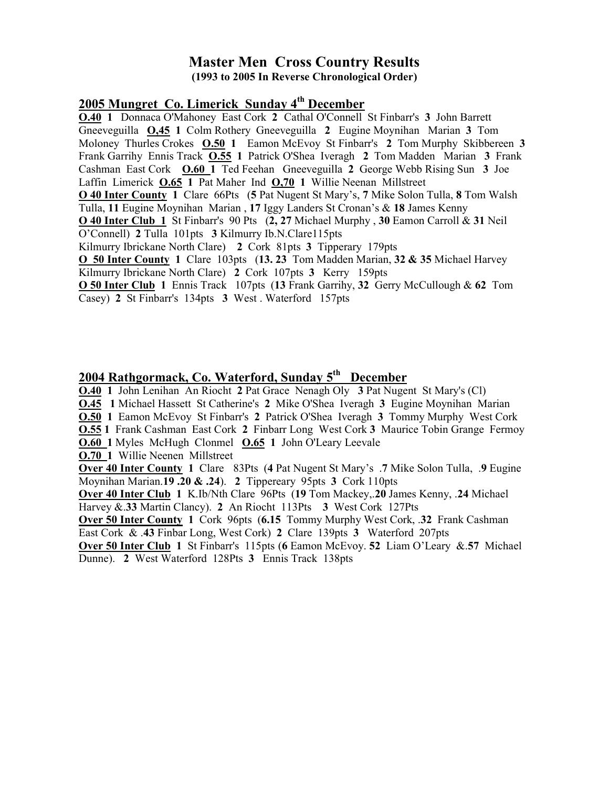#### Master Men Cross Country Results (1993 to 2005 In Reverse Chronological Order)

#### 2005 Mungret Co. Limerick Sunday 4<sup>th</sup> December

O.40 1 Donnaca O'Mahoney East Cork 2 Cathal O'Connell St Finbarr's 3 John Barrett Gneeveguilla O,45 1 Colm Rothery Gneeveguilla 2 Eugine Moynihan Marian 3 Tom Moloney Thurles Crokes **O.50 1** Eamon McEvoy St Finbarr's 2 Tom Murphy Skibbereen 3 Frank Garrihy Ennis Track **O.55 1 Patrick O'Shea Iveragh 2 Tom Madden Marian 3 Frank** Cashman East Cork O.60 1 Ted Feehan Gneeveguilla 2 George Webb Rising Sun 3 Joe Laffin Limerick O.65 1 Pat Maher Ind O,70 1 Willie Neenan Millstreet O 40 Inter County 1 Clare 66Pts (5 Pat Nugent St Mary's, 7 Mike Solon Tulla, 8 Tom Walsh Tulla, 11 Eugine Moynihan Marian , 17 Iggy Landers St Cronan's & 18 James Kenny O 40 Inter Club 1 St Finbarr's 90 Pts (2, 27 Michael Murphy , 30 Eamon Carroll & 31 Neil O'Connell) 2 Tulla 101pts 3 Kilmurry Ib.N.Clare115pts Kilmurry Ibrickane North Clare) 2 Cork 81pts 3 Tipperary 179pts O 50 Inter County 1 Clare 103pts (13. 23 Tom Madden Marian, 32 & 35 Michael Harvey Kilmurry Ibrickane North Clare) 2 Cork 107pts 3 Kerry 159pts O 50 Inter Club 1 Ennis Track 107pts (13 Frank Garrihy, 32 Gerry McCullough & 62 Tom Casey) 2 St Finbarr's 134pts 3 West . Waterford 157pts

## 2004 Rathgormack, Co. Waterford, Sunday 5<sup>th</sup> December

O.40 1 John Lenihan An Riocht 2 Pat Grace Nenagh Oly 3 Pat Nugent St Mary's (Cl) O.45 1 Michael Hassett St Catherine's 2 Mike O'Shea Iveragh 3 Eugine Moynihan Marian

O.50 1 Eamon McEvoy St Finbarr's 2 Patrick O'Shea Iveragh 3 Tommy Murphy West Cork **0.55 1** Frank Cashman East Cork 2 Finbarr Long West Cork 3 Maurice Tobin Grange Fermoy O.60 1 Myles McHugh Clonmel O.65 1 John O'Leary Leevale

O.70 1 Willie Neenen Millstreet

Over 40 Inter County 1 Clare 83Pts (4 Pat Nugent St Mary's .7 Mike Solon Tulla, .9 Eugine Moynihan Marian.19 .20 & .24). 2 Tippereary 95pts 3 Cork 110pts

Over 40 Inter Club 1 K.Ib/Nth Clare 96Pts (19 Tom Mackey,.20 James Kenny, .24 Michael Harvey & 33 Martin Clancy). 2 An Riocht 113Pts 3 West Cork 127Pts

Over 50 Inter County 1 Cork 96pts (6.15 Tommy Murphy West Cork, .32 Frank Cashman East Cork & .43 Finbar Long, West Cork) 2 Clare 139pts 3 Waterford 207pts

Over 50 Inter Club 1 St Finbarr's 115pts (6 Eamon McEvoy. 52 Liam O'Leary &.57 Michael Dunne). 2 West Waterford 128Pts 3 Ennis Track 138pts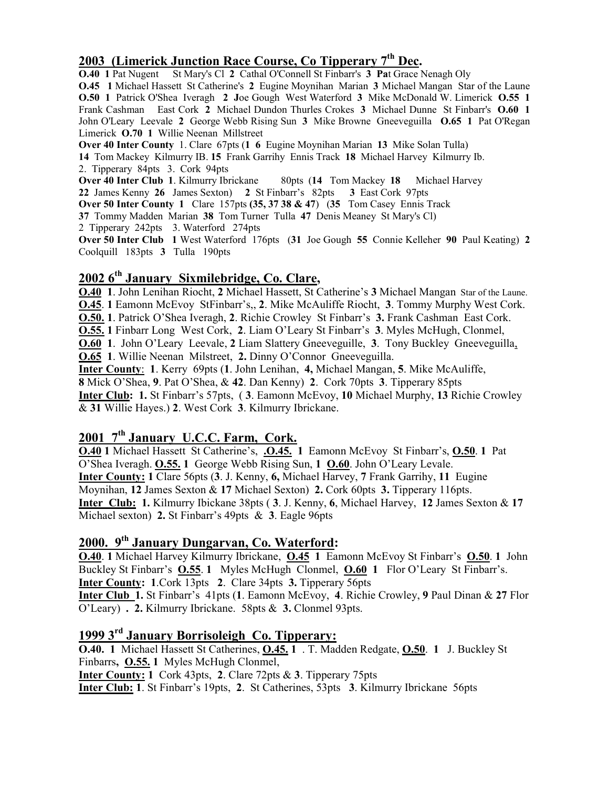## 2003 (Limerick Junction Race Course, Co Tipperary 7<sup>th</sup> Dec.

O.40 1 Pat Nugent St Mary's Cl 2 Cathal O'Connell St Finbarr's 3 Pat Grace Nenagh Oly

O.45 1 Michael Hassett St Catherine's 2 Eugine Moynihan Marian 3 Michael Mangan Star of the Laune O.50 1 Patrick O'Shea Iveragh 2 Joe Gough West Waterford 3 Mike McDonald W. Limerick O.55 1 Frank Cashman East Cork 2 Michael Dundon Thurles Crokes 3 Michael Dunne St Finbarr's O.60 1 John O'Leary Leevale 2 George Webb Rising Sun 3 Mike Browne Gneeveguilla O.65 1 Pat O'Regan Limerick O.70 1 Willie Neenan Millstreet

Over 40 Inter County 1. Clare 67pts (1 6 Eugine Moynihan Marian 13 Mike Solan Tulla)

14 Tom Mackey Kilmurry IB. 15 Frank Garrihy Ennis Track 18 Michael Harvey Kilmurry Ib.

2. Tipperary 84pts 3. Cork 94pts<br>Over 40 Inter Club 1. Kilmurry Ibrickane 80pts (14 Tom Mackey 18 Michael Harvey 22 James Kenny 26 James Sexton) 2 St Finbarr's 82pts 3 East Cork 97pts

Over 50 Inter County 1 Clare 157pts (35, 37 38 & 47) (35 Tom Casey Ennis Track

37 Tommy Madden Marian 38 Tom Turner Tulla 47 Denis Meaney St Mary's Cl)

2 Tipperary 242pts 3. Waterford 274pts

Over 50 Inter Club 1 West Waterford 176pts (31 Joe Gough 55 Connie Kelleher 90 Paul Keating) 2 Coolquill 183pts 3 Tulla 190pts

### 2002 6<sup>th</sup> January Sixmilebridge, Co. Clare,

O.40 1. John Lenihan Riocht, 2 Michael Hassett, St Catherine's 3 Michael Mangan Star of the Laune. O.45. 1 Eamonn McEvoy StFinbarr's,, 2. Mike McAuliffe Riocht, 3. Tommy Murphy West Cork. O.50. 1. Patrick O'Shea Iveragh, 2. Richie Crowley St Finbarr's 3. Frank Cashman East Cork. O.55. 1 Finbarr Long West Cork, 2. Liam O'Leary St Finbarr's 3. Myles McHugh, Clonmel, O.60 1. John O'Leary Leevale, 2 Liam Slattery Gneeveguille, 3. Tony Buckley Gneeveguilla, O.65 1. Willie Neenan Milstreet, 2. Dinny O'Connor Gneeveguilla. Inter County: 1. Kerry 69pts (1. John Lenihan, 4, Michael Mangan, 5. Mike McAuliffe, 8 Mick O'Shea, 9. Pat O'Shea, & 42. Dan Kenny) 2. Cork 70pts 3. Tipperary 85pts Inter Club: 1. St Finbarr's 57pts, ( 3. Eamonn McEvoy, 10 Michael Murphy, 13 Richie Crowley & 31 Willie Hayes.) 2. West Cork 3. Kilmurry Ibrickane.

### $2001$   $7<sup>th</sup>$  January U.C.C. Farm, Cork.

O.40 1 Michael Hassett St Catherine's, .O.45. 1 Eamonn McEvoy St Finbarr's, O.50. 1 Pat O'Shea Iveragh. O.55. 1 George Webb Rising Sun, 1 O.60. John O'Leary Levale. Inter County: 1 Clare 56pts (3. J. Kenny, 6, Michael Harvey, 7 Frank Garrihy, 11 Eugine Moynihan, 12 James Sexton & 17 Michael Sexton) 2. Cork 60pts 3. Tipperary 116pts. Inter Club: 1. Kilmurry Ibickane 38pts ( 3. J. Kenny, 6, Michael Harvey, 12 James Sexton & 17 Michael sexton) 2. St Finbarr's 49pts & 3. Eagle 96pts

# 2000. 9th January Dungarvan, Co. Waterford:

O.40. 1 Michael Harvey Kilmurry Ibrickane, O.45 1 Eamonn McEvoy St Finbarr's O.50. 1 John Buckley St Finbarr's **O.55. 1** Myles McHugh Clonmel, **O.60 1** Flor O'Leary St Finbarr's. Inter County: 1.Cork 13pts 2. Clare 34pts 3. Tipperary 56pts Inter Club 1. St Finbarr's 41pts (1. Eamonn McEvoy, 4. Richie Crowley, 9 Paul Dinan & 27 Flor O'Leary) . 2. Kilmurry Ibrickane. 58pts & 3. Clonmel 93pts.

# 1999 3rd January Borrisoleigh Co. Tipperary:

**O.40.** 1 Michael Hassett St Catherines, **O.45.** 1 . T. Madden Redgate, **O.50**. 1 J. Buckley St Finbarrs, O.55. 1 Myles McHugh Clonmel,

Inter County: 1 Cork 43pts, 2. Clare 72pts & 3. Tipperary 75pts

Inter Club: 1. St Finbarr's 19pts, 2. St Catherines, 53pts 3. Kilmurry Ibrickane 56pts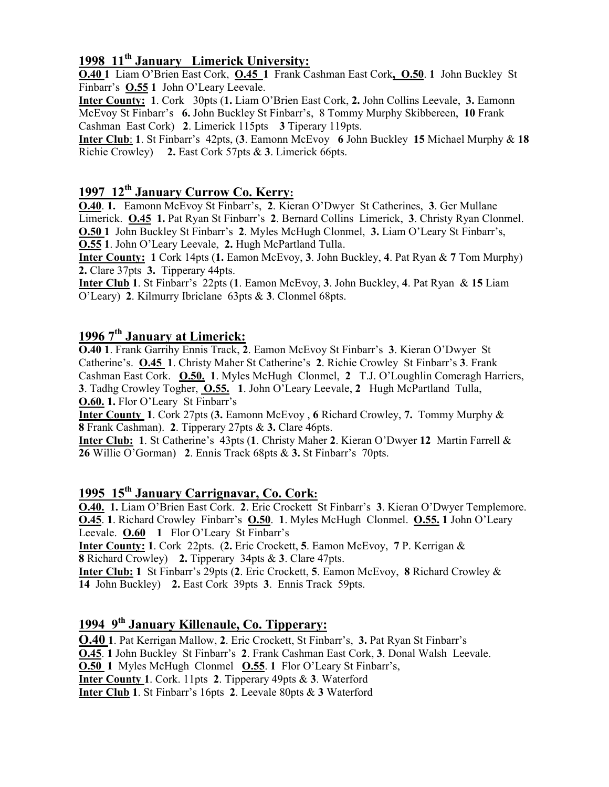## 1998 11<sup>th</sup> January Limerick University:

O.40 1 Liam O'Brien East Cork, O.45 1 Frank Cashman East Cork, O.50. 1 John Buckley St Finbarr's O.55 1 John O'Leary Leevale.

Inter County: 1. Cork 30pts (1. Liam O'Brien East Cork, 2. John Collins Leevale, 3. Eamonn McEvoy St Finbarr's 6. John Buckley St Finbarr's, 8 Tommy Murphy Skibbereen, 10 Frank Cashman East Cork) 2. Limerick 115pts 3 Tiperary 119pts.

Inter Club: 1. St Finbarr's 42pts, (3. Eamonn McEvoy 6 John Buckley 15 Michael Murphy & 18 Richie Crowley) 2. East Cork 57pts & 3. Limerick 66pts.

## 1997 12<sup>th</sup> January Currow Co. Kerry:

O.40. 1. Eamonn McEvoy St Finbarr's, 2. Kieran O'Dwyer St Catherines, 3. Ger Mullane Limerick. O.45 1. Pat Ryan St Finbarr's 2. Bernard Collins Limerick, 3. Christy Ryan Clonmel. O.50 1 John Buckley St Finbarr's 2. Myles McHugh Clonmel, 3. Liam O'Leary St Finbarr's, O.55 1. John O'Leary Leevale, 2. Hugh McPartland Tulla.

**Inter County: 1** Cork 14pts (1. Eamon McEvoy, 3. John Buckley, 4. Pat Ryan & 7 Tom Murphy) 2. Clare 37pts 3. Tipperary 44pts.

Inter Club 1. St Finbarr's 22pts (1. Eamon McEvoy, 3. John Buckley, 4. Pat Ryan & 15 Liam O'Leary) 2. Kilmurry Ibriclane 63pts & 3. Clonmel 68pts.

# 1996  $7<sup>th</sup>$  January at Limerick:

O.40 1. Frank Garrihy Ennis Track, 2. Eamon McEvoy St Finbarr's 3. Kieran O'Dwyer St Catherine's. O.45 1. Christy Maher St Catherine's 2. Richie Crowley St Finbarr's 3. Frank Cashman East Cork. O.50. 1. Myles McHugh Clonmel, 2 T.J. O'Loughlin Comeragh Harriers, 3. Tadhg Crowley Togher, O.55. 1. John O'Leary Leevale, 2 Hugh McPartland Tulla, O.60. 1. Flor O'Leary St Finbarr's

Inter County 1. Cork 27pts (3. Eamonn McEvoy , 6 Richard Crowley, 7. Tommy Murphy & 8 Frank Cashman). 2. Tipperary 27pts & 3. Clare 46pts.

Inter Club: 1. St Catherine's 43pts (1. Christy Maher 2. Kieran O'Dwyer 12 Martin Farrell & 26 Willie O'Gorman) 2. Ennis Track 68pts & 3. St Finbarr's 70pts.

## 1995 15<sup>th</sup> January Carrignavar, Co. Cork:

O.40. 1. Liam O'Brien East Cork. 2. Eric Crockett St Finbarr's 3. Kieran O'Dwyer Templemore. **O.45**. 1. Richard Crowley Finbarr's **O.50**. 1. Myles McHugh Clonmel. **O.55.** 1 John O'Leary Leevale. **O.60** 1 Flor O'Leary St Finbarr's

Inter County: 1. Cork 22pts. (2. Eric Crockett, 5. Eamon McEvoy, 7 P. Kerrigan & 8 Richard Crowley) 2. Tipperary 34pts & 3. Clare 47pts.

Inter Club: 1 St Finbarr's 29pts (2. Eric Crockett, 5. Eamon McEvoy, 8 Richard Crowley & 14 John Buckley) 2. East Cork 39pts 3. Ennis Track 59pts.

# 1994 9<sup>th</sup> January Killenaule, Co. Tipperary:

O.40 1. Pat Kerrigan Mallow, 2. Eric Crockett, St Finbarr's, 3. Pat Ryan St Finbarr's O.45. 1 John Buckley St Finbarr's 2. Frank Cashman East Cork, 3. Donal Walsh Leevale. **O.50 1** Myles McHugh Clonmel **O.55** 1 Flor O'Leary St Finbarr's, Inter County 1. Cork. 11pts 2. Tipperary 49pts & 3. Waterford Inter Club 1. St Finbarr's 16pts 2. Leevale 80pts & 3 Waterford